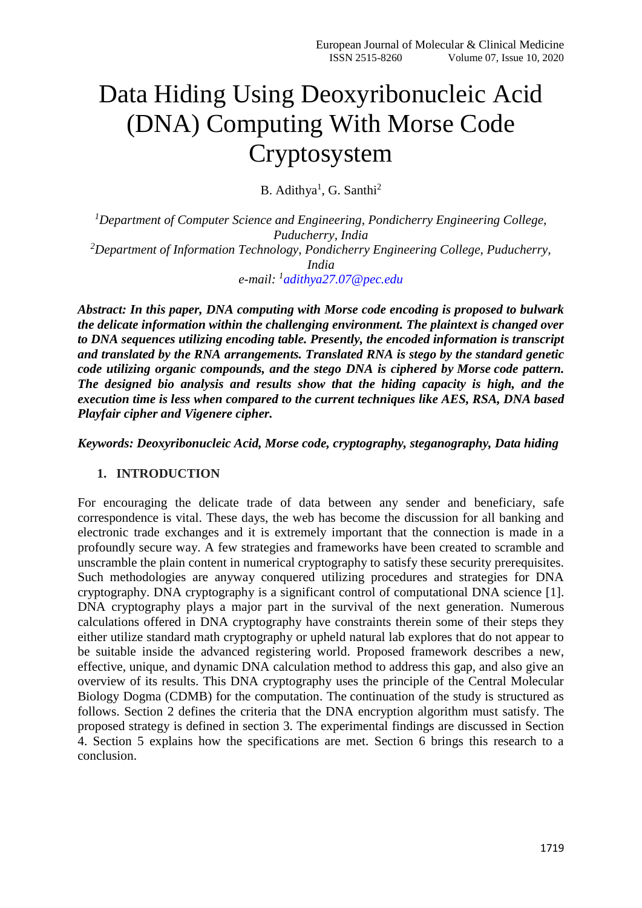# Data Hiding Using Deoxyribonucleic Acid (DNA) Computing With Morse Code Cryptosystem

B. Adithya<sup>1</sup>, G. Santhi<sup>2</sup>

*<sup>1</sup>Department of Computer Science and Engineering, Pondicherry Engineering College, Puducherry, India <sup>2</sup>Department of Information Technology, Pondicherry Engineering College, Puducherry, India e-mail: <sup>1</sup> [adithya27.07@pec.edu](mailto:adithya27.07@pec.edu)*

*Abstract: In this paper, DNA computing with Morse code encoding is proposed to bulwark the delicate information within the challenging environment. The plaintext is changed over to DNA sequences utilizing encoding table. Presently, the encoded information is transcript and translated by the RNA arrangements. Translated RNA is stego by the standard genetic code utilizing organic compounds, and the stego DNA is ciphered by Morse code pattern. The designed bio analysis and results show that the hiding capacity is high, and the execution time is less when compared to the current techniques like AES, RSA, DNA based Playfair cipher and Vigenere cipher.*

*Keywords: Deoxyribonucleic Acid, Morse code, cryptography, steganography, Data hiding*

#### **1. INTRODUCTION**

For encouraging the delicate trade of data between any sender and beneficiary, safe correspondence is vital. These days, the web has become the discussion for all banking and electronic trade exchanges and it is extremely important that the connection is made in a profoundly secure way. A few strategies and frameworks have been created to scramble and unscramble the plain content in numerical cryptography to satisfy these security prerequisites. Such methodologies are anyway conquered utilizing procedures and strategies for DNA cryptography. DNA cryptography is a significant control of computational DNA science [1]. DNA cryptography plays a major part in the survival of the next generation. Numerous calculations offered in DNA cryptography have constraints therein some of their steps they either utilize standard math cryptography or upheld natural lab explores that do not appear to be suitable inside the advanced registering world. Proposed framework describes a new, effective, unique, and dynamic DNA calculation method to address this gap, and also give an overview of its results. This DNA cryptography uses the principle of the Central Molecular Biology Dogma (CDMB) for the computation. The continuation of the study is structured as follows. Section 2 defines the criteria that the DNA encryption algorithm must satisfy. The proposed strategy is defined in section 3. The experimental findings are discussed in Section 4. Section 5 explains how the specifications are met. Section 6 brings this research to a conclusion.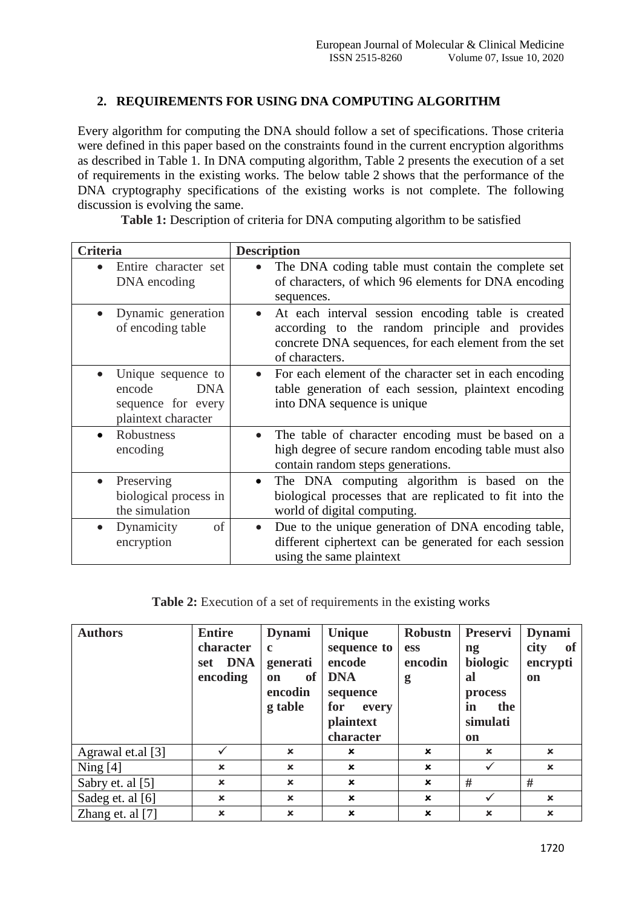## **2. REQUIREMENTS FOR USING DNA COMPUTING ALGORITHM**

Every algorithm for computing the DNA should follow a set of specifications. Those criteria were defined in this paper based on the constraints found in the current encryption algorithms as described in Table 1. In DNA computing algorithm, Table 2 presents the execution of a set of requirements in the existing works. The below table 2 shows that the performance of the DNA cryptography specifications of the existing works is not complete. The following discussion is evolving the same.

**Table 1:** Description of criteria for DNA computing algorithm to be satisfied

| <b>Criteria</b>                                                                                      | <b>Description</b>                                                                                                                                                                           |
|------------------------------------------------------------------------------------------------------|----------------------------------------------------------------------------------------------------------------------------------------------------------------------------------------------|
| Entire character set<br>$\bullet$<br>DNA encoding                                                    | The DNA coding table must contain the complete set<br>$\bullet$<br>of characters, of which 96 elements for DNA encoding<br>sequences.                                                        |
| Dynamic generation<br>$\bullet$<br>of encoding table                                                 | At each interval session encoding table is created<br>$\bullet$<br>according to the random principle and provides<br>concrete DNA sequences, for each element from the set<br>of characters. |
| Unique sequence to<br>$\bullet$<br>encode<br><b>DNA</b><br>sequence for every<br>plaintext character | For each element of the character set in each encoding<br>table generation of each session, plaintext encoding<br>into DNA sequence is unique                                                |
| Robustness<br>$\bullet$<br>encoding                                                                  | The table of character encoding must be based on a<br>$\bullet$<br>high degree of secure random encoding table must also<br>contain random steps generations.                                |
| Preserving<br>$\bullet$<br>biological process in<br>the simulation                                   | The DNA computing algorithm is based on the<br>$\bullet$<br>biological processes that are replicated to fit into the<br>world of digital computing.                                          |
| of<br>Dynamicity<br>$\bullet$<br>encryption                                                          | Due to the unique generation of DNA encoding table,<br>$\bullet$<br>different ciphertext can be generated for each session<br>using the same plaintext                                       |

**Table 2:** Execution of a set of requirements in the existing works

| <b>Authors</b>     | <b>Entire</b><br>character<br><b>DNA</b><br>set<br>encoding | <b>Dynami</b><br>$\mathbf c$<br>generati<br><sub>of</sub><br><b>on</b><br>encodin<br>g table |                           | Robustn<br><b>ess</b><br>encodin<br>g | <b>Preservi</b><br>$\mathbf{n}\mathbf{g}$<br>biologic<br>al<br>process<br>in<br>the<br>simulati | <b>Dynami</b><br><b>of</b><br>city<br>encrypti<br><b>on</b> |
|--------------------|-------------------------------------------------------------|----------------------------------------------------------------------------------------------|---------------------------|---------------------------------------|-------------------------------------------------------------------------------------------------|-------------------------------------------------------------|
|                    |                                                             |                                                                                              | plaintext<br>character    |                                       | on                                                                                              |                                                             |
| Agrawal et.al [3]  |                                                             | $\mathbf x$                                                                                  | $\mathbf x$               | $\mathbf x$                           | $\mathbf x$                                                                                     | $\mathbf x$                                                 |
| Ning $[4]$         | $\mathbf x$                                                 | $\mathbf x$                                                                                  | $\mathbf x$               | $\mathbf x$                           |                                                                                                 | $\mathbf x$                                                 |
| Sabry et. al [5]   | $\boldsymbol{\mathsf{x}}$                                   | $\boldsymbol{\mathsf{x}}$                                                                    | $\mathbf x$               | $\boldsymbol{\mathsf{x}}$             | #                                                                                               | #                                                           |
| Sadeg et. al [6]   | $\mathbf x$                                                 | $\mathbf x$                                                                                  | $\mathbf x$               | $\mathbf x$                           |                                                                                                 | $\boldsymbol{\mathsf{x}}$                                   |
| Zhang et. al $[7]$ | $\boldsymbol{\mathsf{x}}$                                   | $\boldsymbol{\mathsf{x}}$                                                                    | $\boldsymbol{\mathsf{x}}$ | $\boldsymbol{\mathsf{x}}$             | $\mathbf x$                                                                                     | $\boldsymbol{\mathsf{x}}$                                   |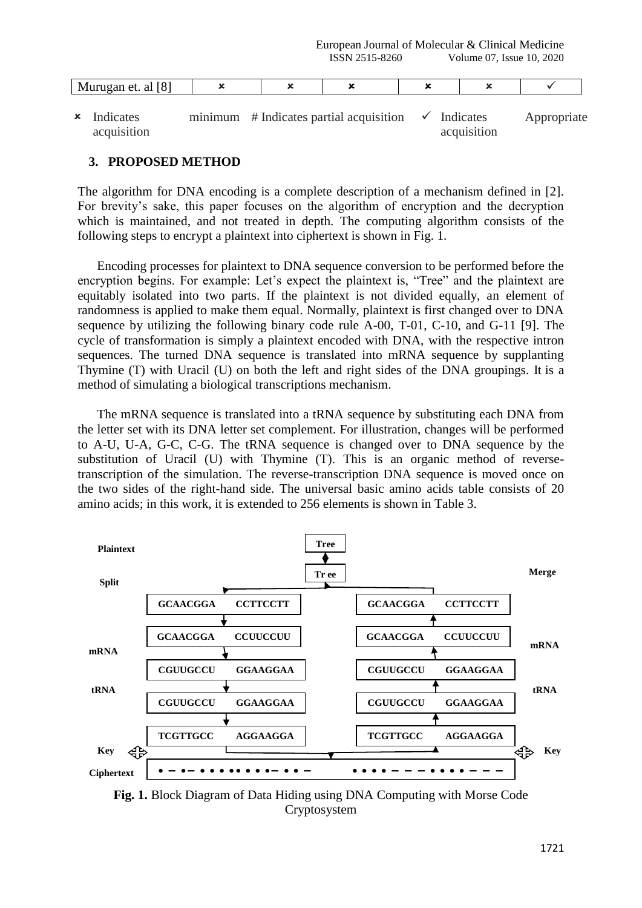| $F^{\wedge n}$<br>----<br>et.<br>al<br>18<br>-iviurugan |  | <br>- |  |  |
|---------------------------------------------------------|--|-------|--|--|
|                                                         |  |       |  |  |

 $\boldsymbol{\mathsf{x}}$  Indicates acquisition  $minimum$  # Indicates partial acquisition  $\checkmark$  Indicates Appropriate acquisition

### **3. PROPOSED METHOD**

The algorithm for DNA encoding is a complete description of a mechanism defined in [2]. For brevity's sake, this paper focuses on the algorithm of encryption and the decryption which is maintained, and not treated in depth. The computing algorithm consists of the following steps to encrypt a plaintext into ciphertext is shown in Fig. 1.

Encoding processes for plaintext to DNA sequence conversion to be performed before the encryption begins. For example: Let's expect the plaintext is, "Tree" and the plaintext are equitably isolated into two parts. If the plaintext is not divided equally, an element of randomness is applied to make them equal. Normally, plaintext is first changed over to DNA sequence by utilizing the following binary code rule A-00, T-01, C-10, and G-11 [9]. The cycle of transformation is simply a plaintext encoded with DNA, with the respective intron sequences. The turned DNA sequence is translated into mRNA sequence by supplanting Thymine (T) with Uracil (U) on both the left and right sides of the DNA groupings. It is a method of simulating a biological transcriptions mechanism.

The mRNA sequence is translated into a tRNA sequence by substituting each DNA from the letter set with its DNA letter set complement. For illustration, changes will be performed to A-U, U-A, G-C, C-G. The tRNA sequence is changed over to DNA sequence by the substitution of Uracil (U) with Thymine (T). This is an organic method of reversetranscription of the simulation. The reverse-transcription DNA sequence is moved once on the two sides of the right-hand side. The universal basic amino acids table consists of 20 amino acids; in this work, it is extended to 256 elements is shown in Table 3.



**Fig. 1.** Block Diagram of Data Hiding using DNA Computing with Morse Code Cryptosystem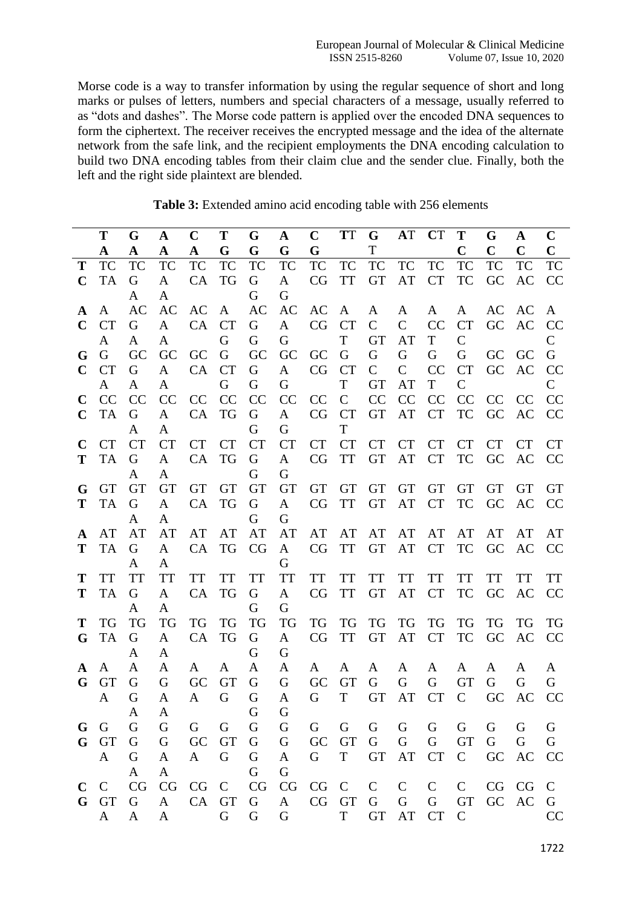Morse code is a way to transfer information by using the regular sequence of short and long marks or pulses of letters, numbers and special characters of a message, usually referred to as "dots and dashes". The Morse code pattern is applied over the encoded DNA sequences to form the ciphertext. The receiver receives the encrypted message and the idea of the alternate network from the safe link, and the recipient employments the DNA encoding calculation to build two DNA encoding tables from their claim clue and the sender clue. Finally, both the left and the right side plaintext are blended.

|              | T            | G              | $\mathbf{A}$              | $\mathbf C$  | T         | G              | $\mathbf{A}$   | $\mathbf C$ | <b>TT</b> |               | G AT CT       |              | T               | G           | $\mathbf{A}$ | $\mathbf C$    |
|--------------|--------------|----------------|---------------------------|--------------|-----------|----------------|----------------|-------------|-----------|---------------|---------------|--------------|-----------------|-------------|--------------|----------------|
|              | A            | $\mathbf A$    | $\mathbf A$               | $\mathbf{A}$ | G         | G              | G              | G           |           | $\mathbf T$   |               |              | $\mathbf C$     | $\mathbf C$ | $\mathbf C$  | $\mathbf C$    |
| T            | <b>TC</b>    | <b>TC</b>      | <b>TC</b>                 | <b>TC</b>    | TC        | TC             | TC             | TC          | TC        | TC            | TC            | <b>TC</b>    | TC              | <b>TC</b>   | <b>TC</b>    | TC             |
| $\mathbf C$  | TA           | G              | A                         | CA           | TG        | G              | A              |             | CG TT GT  |               | AT            | <b>CT</b>    | TC              | GC          | AC           | CC             |
|              |              | A              | $\mathbf{A}$              |              |           | G              | G              |             |           |               |               |              |                 |             |              |                |
| A            | A            | AC             | AC                        | AC           | A         | AC             | AC             | AC          | A         | $\mathbf{A}$  | $\mathbf{A}$  | $\mathbf{A}$ | A               | AC          | AC           | A              |
| $\mathbf C$  | <b>CT</b>    | G              | A                         | CA CT        |           | G              | A              | CG CT       |           | $\mathcal{C}$ | $\mathcal{C}$ | CC           | <b>CT</b>       |             | GC AC        | CC             |
|              | A            | A              | A                         |              | G         | G              | G              |             | T         | <b>GT</b>     | AT            | T            | $\mathcal{C}$   |             |              | $\mathsf{C}$   |
| G            | G            | GC             | GC                        | GC G         |           | GC             |                | GC GC G     |           | $\mathsf G$   | G             | G            | G               | GC          | - GC         | G              |
| $\mathbf C$  | <b>CT</b>    | G              | A                         | CA           | <b>CT</b> | G              | $\mathbf{A}$   | CG CT       |           | $\mathbf C$   | $\mathcal{C}$ | CC           | <b>CT</b>       | <b>GC</b>   | AC           | CC             |
|              | A            | A              | A                         |              | G         | G              | G              |             | T         | <b>GT</b>     | AT            | T            | $\mathsf{C}$    |             |              | $\mathsf{C}$   |
| $\mathbf C$  | <b>CC</b>    | CC             | CC                        | CC CC        |           | CC             | <b>CC</b>      | CC C        |           | CC            | <b>CC</b>     | CC           | CC              | CC CC       |              | CC             |
|              | $C$ TA       | G              | $\mathbf{A}$              | CA TG        |           | G              | A              | CG CT       |           | <b>GT</b>     | AT            | <b>CT</b>    | <b>TC</b>       | GC          | AC           | <b>CC</b>      |
|              |              | A              | A                         |              |           | G              | G              |             | T         |               |               |              |                 |             |              |                |
| $\mathbf C$  | <b>CT</b>    | <b>CT</b>      | <b>CT</b>                 | CT CT        |           | <b>CT</b>      | <b>CT</b>      |             | CT CT     |               | CT CT         | <b>CT</b>    | <b>CT</b>       | <b>CT</b>   | <b>CT</b>    | <b>CT</b>      |
| T            | <b>TA</b>    | G              | A                         | CA TG        |           | G              | A              | CG TT       |           | GT            | AT            | <b>CT</b>    | TC              | GC          | AC           | <sub>CC</sub>  |
|              |              | A              | A                         |              |           | G              | G              |             |           |               |               |              |                 |             |              |                |
| G            | GT           | <b>GT</b>      | <b>GT</b>                 | GT GT        |           | <b>GT</b>      | <b>GT</b>      |             | GT GT     | GT            | GT            | <b>GT</b>    | <b>GT</b>       | <b>GT</b>   | <b>GT</b>    | <b>GT</b>      |
| <sup>T</sup> | TA           | G              | A                         | CA TG        |           | G              | A              |             | CG TT     | <b>GT</b>     | AT            | <b>CT</b>    | TC              | GC          | AC           | <b>CC</b>      |
|              |              | A              | A                         |              |           | G              | G              |             |           |               |               |              |                 |             |              |                |
| ${\bf A}$    | AT           | AT             | AT                        | AT           | AT        | AT             | AT             | AT          | AT        |               | AT AT         | AT           | AT              | AT          | AT           | AT             |
| T            | <b>TA</b>    | G              | A                         |              | CA TG     | CG             | A              |             | CG TT GT  |               | AT CT         |              | TC              | <b>GC</b>   | AC           | <b>CC</b>      |
|              |              | A              | A                         |              |           |                | G              |             |           |               |               |              |                 |             |              |                |
| T            | <b>TT</b>    | <b>TT</b>      | <b>TT</b>                 | TT           | TT        | <b>TT</b>      | <b>TT</b>      | TT          | TT        | <b>TT</b>     | <b>TT</b>     | <b>TT</b>    | TT              | <b>TT</b>   | TT           | <b>TT</b>      |
| T            | <b>TA</b>    | G              | $\mathbf{A}$              | CA TG        |           | G              | $\mathbf{A}$   | CG          | <b>TT</b> | <b>GT</b>     | AT            | <b>CT</b>    | <b>TC</b>       | GC          | AC           | <b>CC</b>      |
| T            | <b>TG</b>    | A<br><b>TG</b> | A                         | TG           | <b>TG</b> | G<br><b>TG</b> | G<br><b>TG</b> |             |           | <b>TG</b>     | TG            | TG           |                 |             | <b>TG</b>    | <b>TG</b>      |
|              | G TA         | G              | <b>TG</b><br>$\mathbf{A}$ | CA TG        |           | G              | A              | TG<br>CG    | TG<br>TT  | <b>GT</b>     | AT            | <b>CT</b>    | TG<br><b>TC</b> | TG<br>GC    | AC           | <b>CC</b>      |
|              |              | A              | A                         |              |           | G              | G              |             |           |               |               |              |                 |             |              |                |
| A            | A            | A              | A                         | A            | A         | A              | $\mathbf{A}$   | A           | A         | A             | A             | A            | A               | A           | A            | A              |
| G            | <b>GT</b>    | G              | G                         | GC           | <b>GT</b> | G              | G              | GC          | <b>GT</b> | G             | G             | G            | <b>GT</b>       | G           | G            | G              |
|              | A            | G              | A                         | A            | G         | G              | $\mathbf{A}$   | G           | T —       | GT            | AT            | <b>CT</b>    | $\mathcal{C}$   | GC          | AC           | CC             |
|              |              | A              | $\mathbf{A}$              |              |           | G              | ${\bf G}$      |             |           |               |               |              |                 |             |              |                |
| G            | G            | G              | G                         | G            | G         | G              | G              | G           | G         | G             | G             | G            | G               | G           | G            | G              |
|              | G GT         | G              | G                         | GC           | <b>GT</b> | G              | G              | GC          | <b>GT</b> | G             | G             | G            | <b>GT</b>       | G           | G            | G              |
|              | $\mathbf{A}$ | G              | A                         | A            | G         | G              | A              | G           | T -       | <b>GT</b>     | AT            | <b>CT</b>    | $\mathbf{C}$    | GC          | AC           | <b>CC</b>      |
|              |              | A              | A                         |              |           | G              | G              |             |           |               |               |              |                 |             |              |                |
| $\mathbf C$  | $\mathbf C$  | CG             | CG                        | $CG \quad C$ |           | CG             | CG             | $CG \ C$    |           | $C$ $C$       |               | $\mathsf{C}$ | $\mathbf{C}$    |             | CG CG        | C <sub>1</sub> |
| G            | GT           | G              | A                         | CA           | <b>GT</b> | G              | A              |             | CG GT     | G G           |               | G            | <b>GT</b>       |             | GC AC        | G              |
|              | A            | A              | A                         |              | G         | G              | G              |             | T -       | <b>GT</b>     | AT            | CT           | $\mathsf{C}$    |             |              | CC             |
|              |              |                |                           |              |           |                |                |             |           |               |               |              |                 |             |              |                |

**Table 3:** Extended amino acid encoding table with 256 elements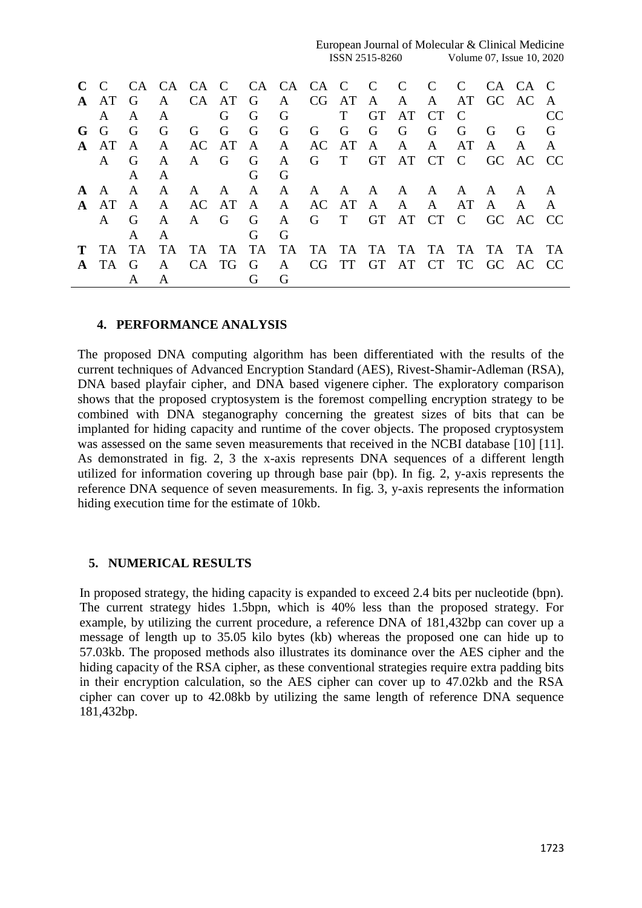European Journal of Molecular & Clinical Medicine ISSN 2515-8260 Volume 07, Issue 10, 2020

|              | A AT         | G            | $\mathbf{A}$ |           |              |                | CA AT G A CG AT A A A AT GC AC A |                  |            |     |      |             |                                  |             |
|--------------|--------------|--------------|--------------|-----------|--------------|----------------|----------------------------------|------------------|------------|-----|------|-------------|----------------------------------|-------------|
|              | $\mathsf{A}$ | $\mathsf{A}$ | A            |           | G            | G              | $\overline{G}$                   | $\Gamma$         | GT AT CT C |     |      |             |                                  |             |
| $G$ $G$      |              | - G          | G            | G         | $\mathbf{G}$ | $\overline{G}$ | $\overline{G}$                   | G G G G          |            | G G |      | $\mathbf G$ | - G                              | $\mathbf G$ |
|              | A AT         | A            | $\mathbf{A}$ |           |              | AC AT A A      |                                  | AC AT A A A AT A |            |     |      |             | $\mathbf{A}$                     |             |
|              | $\mathsf{A}$ | G            | $\mathsf{A}$ |           | A G G        |                | $\mathbf{A}$                     |                  |            |     |      |             | G T GT AT CT C GC AC CC          |             |
|              |              | $\mathsf{A}$ | A            |           |              | G              | G                                |                  |            |     |      |             |                                  |             |
| $A \cap A$   |              | $\mathbf{A}$ | A            |           | A A A        |                | $\mathbf{A}$                     |                  |            |     |      |             | A A A A A A A A A                |             |
| $\mathbf{A}$ | AT A         |              | A            | AC AT A A |              |                |                                  | AC AT A A A      |            |     | AT A |             | $\mathbf{A}$                     |             |
|              | $\mathsf{A}$ | G            | $\mathsf{A}$ |           | A G          | G              | $\mathbf{A}$                     |                  |            |     |      |             | G T GT AT CT C GC AC CC          |             |
|              |              |              | A            |           |              | G              | G                                |                  |            |     |      |             |                                  |             |
|              | T TA         | TA.          | TA           | TA TA TA  |              |                |                                  |                  |            |     |      |             | TA TA TA TA TA TA TA TA TA TA TA |             |
| $\mathbf{A}$ | TA G         |              | $\mathsf{A}$ | CA TG     |              | G              |                                  |                  |            |     |      |             | A CG TT GT AT CT TC GC AC CC     |             |
|              |              |              |              |           |              |                | G                                |                  |            |     |      |             |                                  |             |

#### **4. PERFORMANCE ANALYSIS**

The proposed DNA computing algorithm has been differentiated with the results of the current techniques of Advanced Encryption Standard (AES), Rivest-Shamir-Adleman (RSA), DNA based playfair cipher, and DNA based vigenere cipher. The exploratory comparison shows that the proposed cryptosystem is the foremost compelling encryption strategy to be combined with DNA steganography concerning the greatest sizes of bits that can be implanted for hiding capacity and runtime of the cover objects. The proposed cryptosystem was assessed on the same seven measurements that received in the NCBI database [10] [11]. As demonstrated in fig. 2, 3 the x-axis represents DNA sequences of a different length utilized for information covering up through base pair (bp). In fig. 2, y-axis represents the reference DNA sequence of seven measurements. In fig. 3, y-axis represents the information hiding execution time for the estimate of 10kb.

#### **5. NUMERICAL RESULTS**

In proposed strategy, the hiding capacity is expanded to exceed 2.4 bits per nucleotide (bpn). The current strategy hides 1.5bpn, which is 40% less than the proposed strategy. For example, by utilizing the current procedure, a reference DNA of 181,432bp can cover up a message of length up to 35.05 kilo bytes (kb) whereas the proposed one can hide up to 57.03kb. The proposed methods also illustrates its dominance over the AES cipher and the hiding capacity of the RSA cipher, as these conventional strategies require extra padding bits in their encryption calculation, so the AES cipher can cover up to 47.02kb and the RSA cipher can cover up to 42.08kb by utilizing the same length of reference DNA sequence 181,432bp.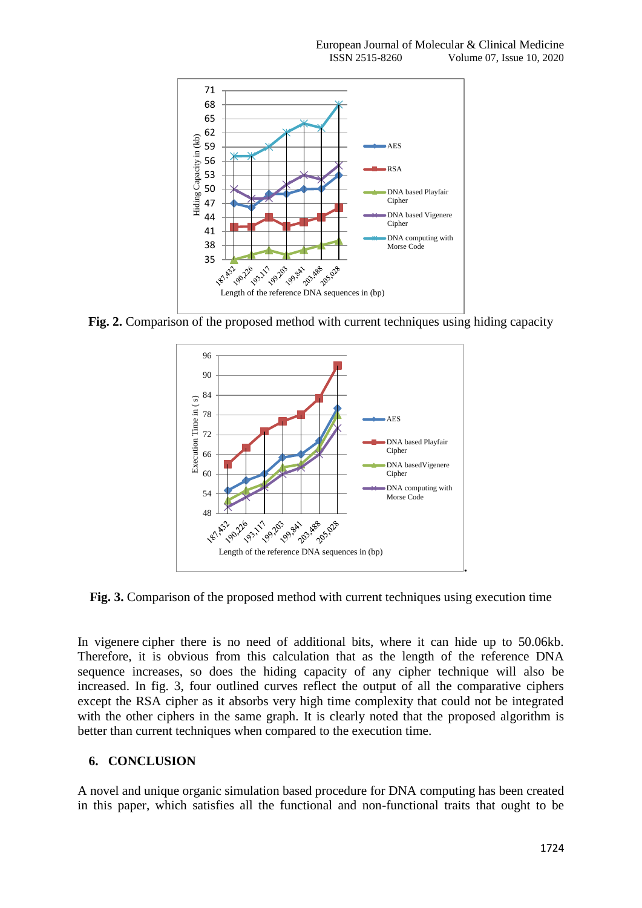

**Fig. 2.** Comparison of the proposed method with current techniques using hiding capacity



**Fig. 3.** Comparison of the proposed method with current techniques using execution time

In vigenere cipher there is no need of additional bits, where it can hide up to 50.06kb. Therefore, it is obvious from this calculation that as the length of the reference DNA sequence increases, so does the hiding capacity of any cipher technique will also be increased. In fig. 3, four outlined curves reflect the output of all the comparative ciphers except the RSA cipher as it absorbs very high time complexity that could not be integrated with the other ciphers in the same graph. It is clearly noted that the proposed algorithm is better than current techniques when compared to the execution time.

## **6. CONCLUSION**

A novel and unique organic simulation based procedure for DNA computing has been created in this paper, which satisfies all the functional and non-functional traits that ought to be